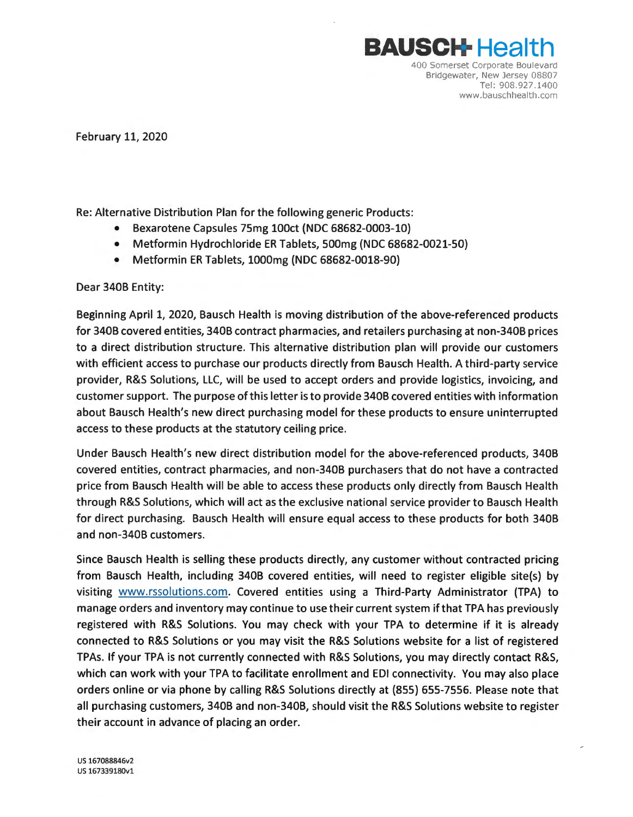

February 11, 2020

Re: Alternative Distribution Plan for the following generic Products:

- Bexarotene Capsules 75mg lOOct (NOC 68682-0003-10)
- Metformin Hydrochloride ER Tablets, 500mg (NOC 68682-0021-50)
- Metformin ER Tablets, 1000mg (NOC 68682-0018-90)

Dear 3408 Entity:

Beginning April 1, 2020, Bausch Health is moving distribution of the above-referenced products for 3408 covered entities, 340B contract pharmacies, and retailers purchasing at non-340B prices to a direct distribution structure. This alternative distribution plan will provide our customers with efficient access to purchase our products directly from Bausch Health. A third-party service provider, R&S Solutions, LLC, will be used to accept orders and provide logistics, invoicing, and customer support. The purpose of this letter is to provide 340B covered entities with information about Bausch Health's new direct purchasing model for these products to ensure uninterrupted access to these products at the statutory ceiling price.

Under Bausch Health's new direct distribution model for the above-referenced products, 340B covered entities, contract pharmacies, and non-3408 purchasers that do not have a contracted price from Bausch Health will be able to access these products only directly from Bausch Health through R&S Solutions, which will act as the exclusive national service provider to Bausch Health for direct purchasing. Bausch Health will ensure equal access to these products for both 3408 and non-340B customers.

Since Bausch Health is selling these products directly, any customer without contracted pricing from Bausch Health, including 3408 covered entities, will need to register eligible site(s) by visiting <www.rssolutions.com>. Covered entities using a Third-Party Administrator (TPA) to manage orders and inventory may continue to use their current system ifthat TPA has previously registered with R&S Solutions. You may check with your TPA to determine if it is already connected to R&S Solutions or you may visit the R&S Solutions website for a list of registered TPAs. If your TPA is not currently connected with R&S Solutions, you may directly contact R&S, which can work with your TPA to facilitate enrollment and EDI connectivity. You may also place orders online or via phone by calling R&S Solutions directly at (855) 655-7556. Please note that all purchasing customers, 340B and non-340B, should visit the R&S Solutions website to register their account in advance of placing an order.